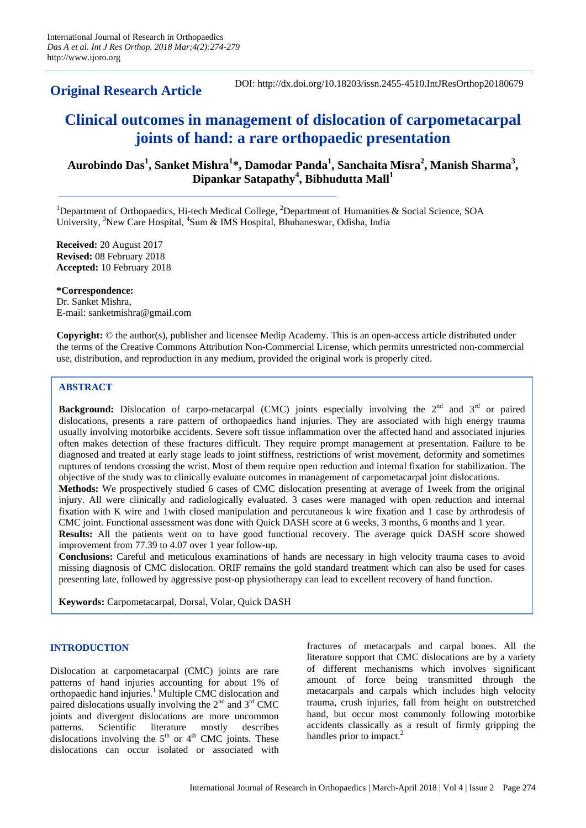# **Original Research Article**

DOI: http://dx.doi.org/10.18203/issn.2455-4510.IntJResOrthop20180679

# **Clinical outcomes in management of dislocation of carpometacarpal joints of hand: a rare orthopaedic presentation**

# **Aurobindo Das<sup>1</sup> , Sanket Mishra<sup>1</sup> \*, Damodar Panda<sup>1</sup> , Sanchaita Misra<sup>2</sup> , Manish Sharma<sup>3</sup> , Dipankar Satapathy<sup>4</sup> , Bibhudutta Mall<sup>1</sup>**

<sup>1</sup>Department of Orthopaedics, Hi-tech Medical College,  ${}^{2}$ Department of Humanities & Social Science, SOA University, <sup>3</sup>New Care Hospital, <sup>4</sup>Sum & IMS Hospital, Bhubaneswar, Odisha, India

**Received:** 20 August 2017 **Revised:** 08 February 2018 **Accepted:** 10 February 2018

**\*Correspondence:** Dr. Sanket Mishra, E-mail: sanketmishra@gmail.com

**Copyright:** © the author(s), publisher and licensee Medip Academy. This is an open-access article distributed under the terms of the Creative Commons Attribution Non-Commercial License, which permits unrestricted non-commercial use, distribution, and reproduction in any medium, provided the original work is properly cited.

# **ABSTRACT**

**Background:** Dislocation of carpo-metacarpal (CMC) joints especially involving the 2<sup>nd</sup> and 3<sup>rd</sup> or paired dislocations, presents a rare pattern of orthopaedics hand injuries. They are associated with high energy trauma usually involving motorbike accidents. Severe soft tissue inflammation over the affected hand and associated injuries often makes detection of these fractures difficult. They require prompt management at presentation. Failure to be diagnosed and treated at early stage leads to joint stiffness, restrictions of wrist movement, deformity and sometimes ruptures of tendons crossing the wrist. Most of them require open reduction and internal fixation for stabilization. The objective of the study was to clinically evaluate outcomes in management of carpometacarpal joint dislocations.

**Methods:** We prospectively studied 6 cases of CMC dislocation presenting at average of 1week from the original injury. All were clinically and radiologically evaluated. 3 cases were managed with open reduction and internal fixation with K wire and 1with closed manipulation and percutaneous k wire fixation and 1 case by arthrodesis of CMC joint. Functional assessment was done with Quick DASH score at 6 weeks, 3 months, 6 months and 1 year.

**Results:** All the patients went on to have good functional recovery. The average quick DASH score showed improvement from 77.39 to 4.07 over 1 year follow-up.

**Conclusions:** Careful and meticulous examinations of hands are necessary in high velocity trauma cases to avoid missing diagnosis of CMC dislocation. ORIF remains the gold standard treatment which can also be used for cases presenting late, followed by aggressive post-op physiotherapy can lead to excellent recovery of hand function.

**Keywords:** Carpometacarpal, Dorsal, Volar, Quick DASH

## **INTRODUCTION**

Dislocation at carpometacarpal (CMC) joints are rare patterns of hand injuries accounting for about 1% of orthopaedic hand injuries.<sup>1</sup> Multiple CMC dislocation and paired dislocations usually involving the  $2<sup>nd</sup>$  and  $3<sup>rd</sup>$  CMC joints and divergent dislocations are more uncommon patterns. Scientific literature mostly describes dislocations involving the  $5<sup>th</sup>$  or  $4<sup>th</sup>$  CMC joints. These dislocations can occur isolated or associated with fractures of metacarpals and carpal bones. All the literature support that CMC dislocations are by a variety of different mechanisms which involves significant amount of force being transmitted through the metacarpals and carpals which includes high velocity trauma, crush injuries, fall from height on outstretched hand, but occur most commonly following motorbike accidents classically as a result of firmly gripping the handles prior to impact.<sup>2</sup>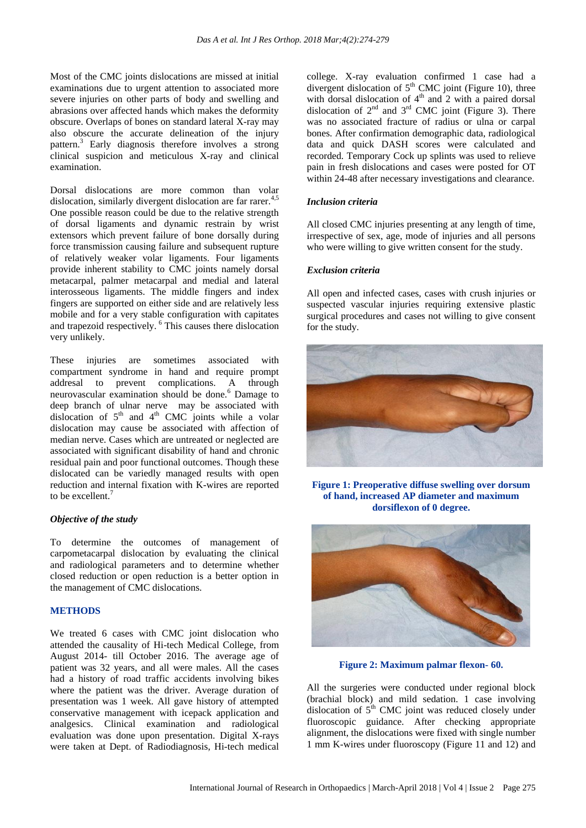Most of the CMC joints dislocations are missed at initial examinations due to urgent attention to associated more severe injuries on other parts of body and swelling and abrasions over affected hands which makes the deformity obscure. Overlaps of bones on standard lateral X-ray may also obscure the accurate delineation of the injury pattern.<sup>3</sup> Early diagnosis therefore involves a strong clinical suspicion and meticulous X-ray and clinical examination.

Dorsal dislocations are more common than volar dislocation, similarly divergent dislocation are far rarer.<sup>4,5</sup> One possible reason could be due to the relative strength of dorsal ligaments and dynamic restrain by wrist extensors which prevent failure of bone dorsally during force transmission causing failure and subsequent rupture of relatively weaker volar ligaments. Four ligaments provide inherent stability to CMC joints namely dorsal metacarpal, palmer metacarpal and medial and lateral interosseous ligaments. The middle fingers and index fingers are supported on either side and are relatively less mobile and for a very stable configuration with capitates and trapezoid respectively. <sup>6</sup> This causes there dislocation very unlikely.

These injuries are sometimes associated with compartment syndrome in hand and require prompt addresal to prevent complications. A through neurovascular examination should be done.<sup>6</sup> Damage to deep branch of ulnar nerve may be associated with dislocation of  $5<sup>th</sup>$  and  $4<sup>th</sup>$  CMC joints while a volar dislocation may cause be associated with affection of median nerve. Cases which are untreated or neglected are associated with significant disability of hand and chronic residual pain and poor functional outcomes. Though these dislocated can be variedly managed results with open reduction and internal fixation with K-wires are reported to be excellent.<sup>7</sup>

#### *Objective of the study*

To determine the outcomes of management of carpometacarpal dislocation by evaluating the clinical and radiological parameters and to determine whether closed reduction or open reduction is a better option in the management of CMC dislocations.

#### **METHODS**

We treated 6 cases with CMC joint dislocation who attended the causality of Hi-tech Medical College, from August 2014- till October 2016. The average age of patient was 32 years, and all were males. All the cases had a history of road traffic accidents involving bikes where the patient was the driver. Average duration of presentation was 1 week. All gave history of attempted conservative management with icepack application and analgesics. Clinical examination and radiological evaluation was done upon presentation. Digital X-rays were taken at Dept. of Radiodiagnosis, Hi-tech medical college. X-ray evaluation confirmed 1 case had a divergent dislocation of  $5<sup>th</sup>$  CMC joint (Figure 10), three with dorsal dislocation of  $4<sup>th</sup>$  and 2 with a paired dorsal dislocation of  $2<sup>nd</sup>$  and  $3<sup>rd</sup>$  CMC joint (Figure 3). There was no associated fracture of radius or ulna or carpal bones. After confirmation demographic data, radiological data and quick DASH scores were calculated and recorded. Temporary Cock up splints was used to relieve pain in fresh dislocations and cases were posted for OT within 24-48 after necessary investigations and clearance.

#### *Inclusion criteria*

All closed CMC injuries presenting at any length of time, irrespective of sex, age, mode of injuries and all persons who were willing to give written consent for the study.

#### *Exclusion criteria*

All open and infected cases, cases with crush injuries or suspected vascular injuries requiring extensive plastic surgical procedures and cases not willing to give consent for the study.



**Figure 1: Preoperative diffuse swelling over dorsum of hand, increased AP diameter and maximum dorsiflexon of 0 degree.**



**Figure 2: Maximum palmar flexon- 60.**

All the surgeries were conducted under regional block (brachial block) and mild sedation. 1 case involving dislocation of  $5<sup>th</sup>$  CMC joint was reduced closely under fluoroscopic guidance. After checking appropriate alignment, the dislocations were fixed with single number 1 mm K-wires under fluoroscopy (Figure 11 and 12) and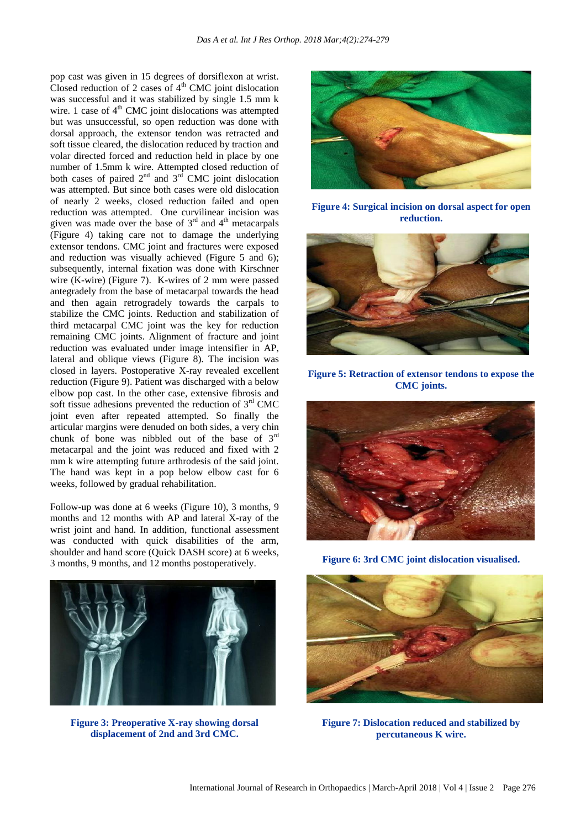pop cast was given in 15 degrees of dorsiflexon at wrist. Closed reduction of 2 cases of  $4<sup>th</sup>$  CMC joint dislocation was successful and it was stabilized by single 1.5 mm k wire. 1 case of  $4<sup>th</sup>$  CMC joint dislocations was attempted but was unsuccessful, so open reduction was done with dorsal approach, the extensor tendon was retracted and soft tissue cleared, the dislocation reduced by traction and volar directed forced and reduction held in place by one number of 1.5mm k wire. Attempted closed reduction of both cases of paired  $2<sup>nd</sup>$  and  $3<sup>rd</sup>$  CMC joint dislocation was attempted. But since both cases were old dislocation of nearly 2 weeks, closed reduction failed and open reduction was attempted. One curvilinear incision was given was made over the base of  $3<sup>rd</sup>$  and  $4<sup>th</sup>$  metacarpals (Figure 4) taking care not to damage the underlying extensor tendons. CMC joint and fractures were exposed and reduction was visually achieved (Figure 5 and 6); subsequently, internal fixation was done with Kirschner wire (K-wire) (Figure 7). K-wires of 2 mm were passed antegradely from the base of metacarpal towards the head and then again retrogradely towards the carpals to stabilize the CMC joints. Reduction and stabilization of third metacarpal CMC joint was the key for reduction remaining CMC joints. Alignment of fracture and joint reduction was evaluated under image intensifier in AP, lateral and oblique views (Figure 8). The incision was closed in layers. Postoperative X-ray revealed excellent reduction (Figure 9). Patient was discharged with a below elbow pop cast. In the other case, extensive fibrosis and soft tissue adhesions prevented the reduction of  $3<sup>rd</sup>$  CMC joint even after repeated attempted. So finally the articular margins were denuded on both sides, a very chin chunk of bone was nibbled out of the base of  $3<sup>rd</sup>$ metacarpal and the joint was reduced and fixed with 2 mm k wire attempting future arthrodesis of the said joint. The hand was kept in a pop below elbow cast for 6 weeks, followed by gradual rehabilitation.

Follow-up was done at 6 weeks (Figure 10), 3 months, 9 months and 12 months with AP and lateral X-ray of the wrist joint and hand. In addition, functional assessment was conducted with quick disabilities of the arm, shoulder and hand score (Quick DASH score) at 6 weeks, 3 months, 9 months, and 12 months postoperatively.



**Figure 3: Preoperative X-ray showing dorsal displacement of 2nd and 3rd CMC.**



**Figure 4: Surgical incision on dorsal aspect for open reduction.**



**Figure 5: Retraction of extensor tendons to expose the CMC joints.**



**Figure 6: 3rd CMC joint dislocation visualised.**



**Figure 7: Dislocation reduced and stabilized by percutaneous K wire.**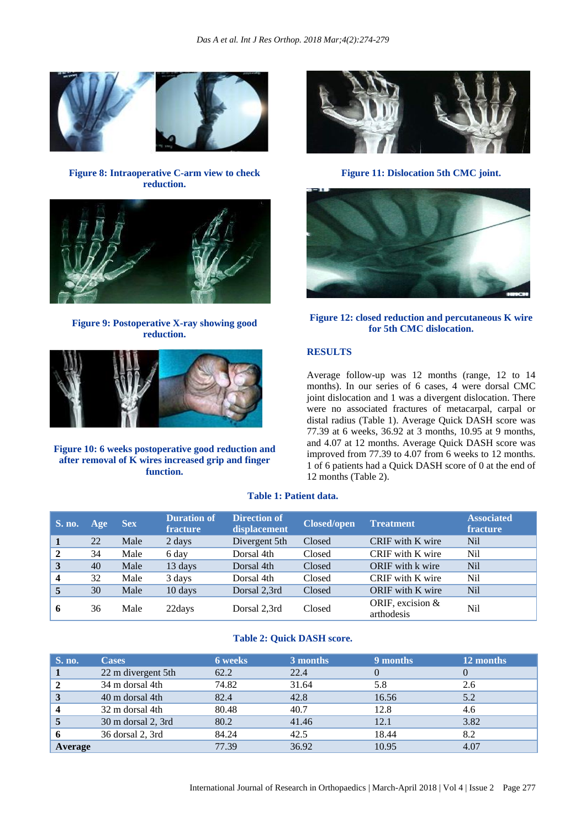

**Figure 8: Intraoperative C-arm view to check reduction.**



**Figure 9: Postoperative X-ray showing good reduction.**



**Figure 10: 6 weeks postoperative good reduction and after removal of K wires increased grip and finger function.**



**Figure 11: Dislocation 5th CMC joint.**



**Figure 12: closed reduction and percutaneous K wire for 5th CMC dislocation.**

# **RESULTS**

Average follow-up was 12 months (range, 12 to 14 months). In our series of 6 cases, 4 were dorsal CMC joint dislocation and 1 was a divergent dislocation. There were no associated fractures of metacarpal, carpal or distal radius (Table 1). Average Quick DASH score was 77.39 at 6 weeks, 36.92 at 3 months, 10.95 at 9 months, and 4.07 at 12 months. Average Quick DASH score was improved from 77.39 to 4.07 from 6 weeks to 12 months. 1 of 6 patients had a Quick DASH score of 0 at the end of 12 months (Table 2).

# **Table 1: Patient data.**

| <b>S. no.</b>           | Age | <b>Sex</b> | <b>Duration of</b><br>fracture | <b>Direction of</b><br>displacement | <b>Closed/open</b> | <b>Treatment</b>                 | <b>Associated</b><br>fracture |
|-------------------------|-----|------------|--------------------------------|-------------------------------------|--------------------|----------------------------------|-------------------------------|
|                         | 22  | Male       | 2 days                         | Divergent 5th                       | Closed             | CRIF with K wire                 | <b>Nil</b>                    |
| $\mathbf{2}$            | 34  | Male       | 6 day                          | Dorsal 4th                          | Closed             | CRIF with K wire                 | Nil                           |
| 3                       | 40  | Male       | 13 days                        | Dorsal 4th                          | Closed             | ORIF with k wire                 | <b>Nil</b>                    |
| $\overline{\mathbf{4}}$ | 32  | Male       | 3 days                         | Dorsal 4th                          | Closed             | CRIF with K wire                 | Nil                           |
|                         | 30  | Male       | 10 days                        | Dorsal 2,3rd                        | Closed             | <b>ORIF</b> with K wire          | <b>Nil</b>                    |
| 6                       | 36  | Male       | 22days                         | Dorsal 2.3rd                        | Closed             | ORIF, excision $&$<br>arthodesis | N <sub>il</sub>               |

#### **Table 2: Quick DASH score.**

| <b>S. no.</b> | <b>Cases</b>       | <b>6</b> weeks | 3 months | 9 months | 12 months |
|---------------|--------------------|----------------|----------|----------|-----------|
|               | 22 m divergent 5th | 62.2           | 22.4     |          |           |
|               | 34 m dorsal 4th    | 74.82          | 31.64    | 5.8      | 2.6       |
| 3             | 40 m dorsal 4th    | 82.4           | 42.8     | 16.56    | 5.2       |
|               | 32 m dorsal 4th    | 80.48          | 40.7     | 12.8     | 4.6       |
|               | 30 m dorsal 2, 3rd | 80.2           | 41.46    | 12.1     | 3.82      |
|               | 36 dorsal 2, 3rd   | 84.24          | 42.5     | 18.44    | 8.2       |
| Average       |                    | 77.39          | 36.92    | 10.95    | 4.07      |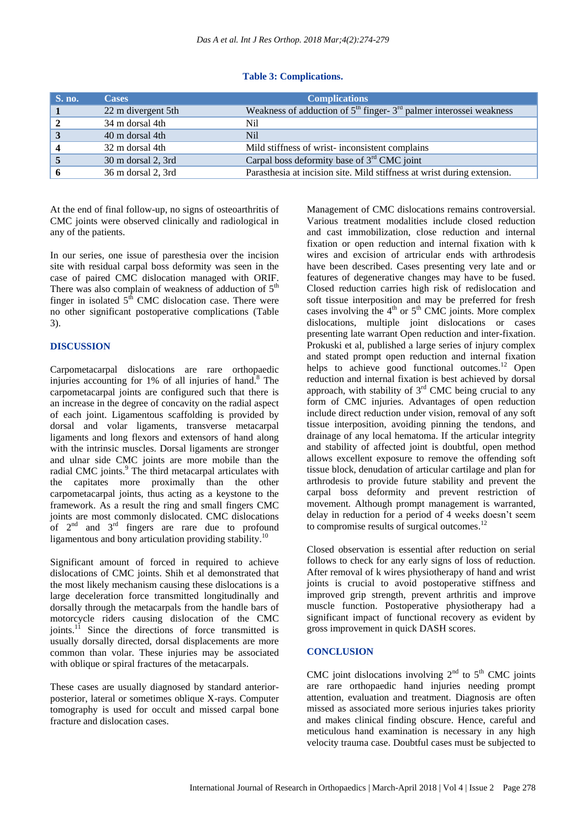# **Table 3: Complications.**

| <b>S. no.</b> | <b>Cases</b>       | <b>Complications</b>                                                    |
|---------------|--------------------|-------------------------------------------------------------------------|
|               | 22 m divergent 5th | Weakness of adduction of $5th$ finger- $3rd$ palmer interossei weakness |
|               | 34 m dorsal 4th    | Nil                                                                     |
|               | 40 m dorsal 4th    | <b>Nil</b>                                                              |
|               | 32 m dorsal 4th    | Mild stiffness of wrist-inconsistent complains                          |
|               | 30 m dorsal 2, 3rd | Carpal boss deformity base of $3rd$ CMC joint                           |
|               | 36 m dorsal 2, 3rd | Parasthesia at incision site. Mild stiffness at wrist during extension. |

At the end of final follow-up, no signs of osteoarthritis of CMC joints were observed clinically and radiological in any of the patients.

In our series, one issue of paresthesia over the incision site with residual carpal boss deformity was seen in the case of paired CMC dislocation managed with ORIF. There was also complain of weakness of adduction of  $5<sup>th</sup>$ finger in isolated  $5<sup>th</sup>$  CMC dislocation case. There were no other significant postoperative complications (Table 3).

# **DISCUSSION**

Carpometacarpal dislocations are rare orthopaedic injuries accounting for 1% of all injuries of hand. <sup>8</sup> The carpometacarpal joints are configured such that there is an increase in the degree of concavity on the radial aspect of each joint. Ligamentous scaffolding is provided by dorsal and volar ligaments, transverse metacarpal ligaments and long flexors and extensors of hand along with the intrinsic muscles. Dorsal ligaments are stronger and ulnar side CMC joints are more mobile than the radial CMC joints.<sup>9</sup> The third metacarpal articulates with the capitates more proximally than the other carpometacarpal joints, thus acting as a keystone to the framework. As a result the ring and small fingers CMC joints are most commonly dislocated. CMC dislocations of  $2<sup>nd</sup>$  and  $3<sup>rd</sup>$  fingers are rare due to profound ligamentous and bony articulation providing stability.<sup>10</sup>

Significant amount of forced in required to achieve dislocations of CMC joints. Shih et al demonstrated that the most likely mechanism causing these dislocations is a large deceleration force transmitted longitudinally and dorsally through the metacarpals from the handle bars of motorcycle riders causing dislocation of the CMC joints.<sup>11</sup> Since the directions of force transmitted is usually dorsally directed, dorsal displacements are more common than volar. These injuries may be associated with oblique or spiral fractures of the metacarpals.

These cases are usually diagnosed by standard anteriorposterior, lateral or sometimes oblique X-rays. Computer tomography is used for occult and missed carpal bone fracture and dislocation cases.

Management of CMC dislocations remains controversial. Various treatment modalities include closed reduction and cast immobilization, close reduction and internal fixation or open reduction and internal fixation with k wires and excision of artricular ends with arthrodesis have been described. Cases presenting very late and or features of degenerative changes may have to be fused. Closed reduction carries high risk of redislocation and soft tissue interposition and may be preferred for fresh cases involving the  $4<sup>th</sup>$  or  $5<sup>th</sup>$  CMC joints. More complex dislocations, multiple joint dislocations or cases presenting late warrant Open reduction and inter-fixation. Prokuski et al, published a large series of injury complex and stated prompt open reduction and internal fixation helps to achieve good functional outcomes.<sup>12</sup> Open reduction and internal fixation is best achieved by dorsal approach, with stability of  $3<sup>rd</sup>$  CMC being crucial to any form of CMC injuries. Advantages of open reduction include direct reduction under vision, removal of any soft tissue interposition, avoiding pinning the tendons, and drainage of any local hematoma. If the articular integrity and stability of affected joint is doubtful, open method allows excellent exposure to remove the offending soft tissue block, denudation of articular cartilage and plan for arthrodesis to provide future stability and prevent the carpal boss deformity and prevent restriction of movement. Although prompt management is warranted, delay in reduction for a period of 4 weeks doesn't seem to compromise results of surgical outcomes. 12

Closed observation is essential after reduction on serial follows to check for any early signs of loss of reduction. After removal of k wires physiotherapy of hand and wrist joints is crucial to avoid postoperative stiffness and improved grip strength, prevent arthritis and improve muscle function. Postoperative physiotherapy had a significant impact of functional recovery as evident by gross improvement in quick DASH scores.

## **CONCLUSION**

CMC joint dislocations involving  $2<sup>nd</sup>$  to  $5<sup>th</sup>$  CMC joints are rare orthopaedic hand injuries needing prompt attention, evaluation and treatment. Diagnosis are often missed as associated more serious injuries takes priority and makes clinical finding obscure. Hence, careful and meticulous hand examination is necessary in any high velocity trauma case. Doubtful cases must be subjected to